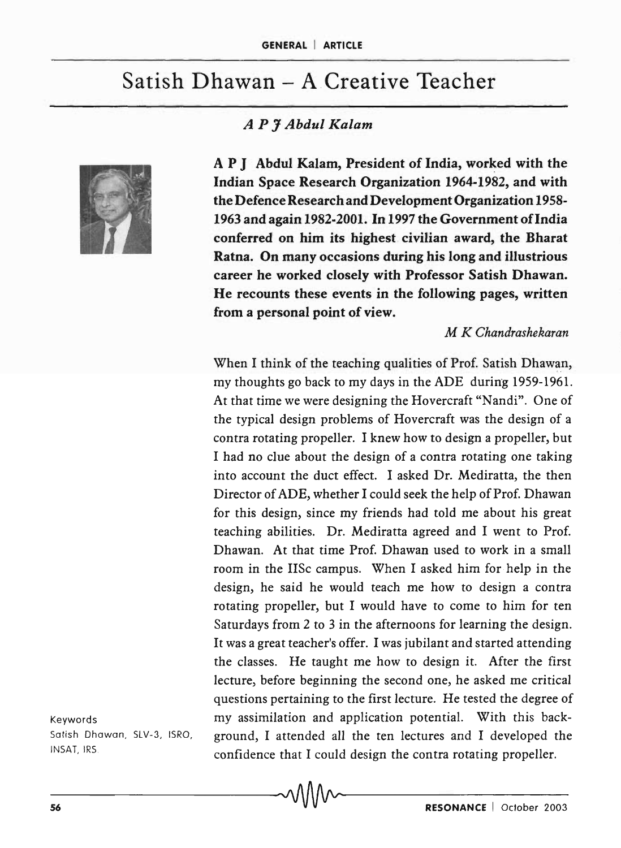# Satish Dhawan - A Creative Teacher





A P J Abdul Kalam, President of India, worked with the Indian Space Research Organization 1964-1982, and with the Defence Research and Development Organization 1958- 1963 and again 1982-2001. In 1997 the Government of India conferred on him its highest civilian award, the Bharat Ratna. On many occasions during his long and illustrious career he worked closely with Professor Satish Dhawan. He recounts these events in the following pages, written from a personal point of view.

#### *M K Chandrashekaran*

When I think of the teaching qualities of Prof. Satish Dhawan, my thoughts go back to my days in the ADE during 1959-1961. At that time we were designing the Hovercraft "Nandi". One of the typical design problems of Hovercraft was the design of a contra rotating propeller. I knew how to design a propeller, but I had no clue about the design of a contra rotating one taking into account the duct effect. I asked Dr. Mediratta, the then Director of ADE, whether I could seek the help of Prof. Dhawan for this design, since my friends had told me about his great teaching abilities. Dr. Mediratta agreed and I went to Prof. Dhawan. At that time Prof. Dhawan used to work in a small room in the IISc campus. When I asked him for help in the design, he said he would teach me how to design a contra rotating propeller, but I would have to come to him for ten Saturdays from 2 to 3 in the afternoons for learning the design. It was a great teacher's offer. I was jubilant and started attending the classes. He taught me how to design it. After the first lecture, before beginning the second one, he asked me critical questions pertaining to the first lecture. He tested the degree of my assimilation and application potential. With this background, I attended all the ten lectures and I developed the confidence that I could design the contra rotating propeller.

Keywords Satish Dhawan, SLV-3, ISRO, INSAT, IRS.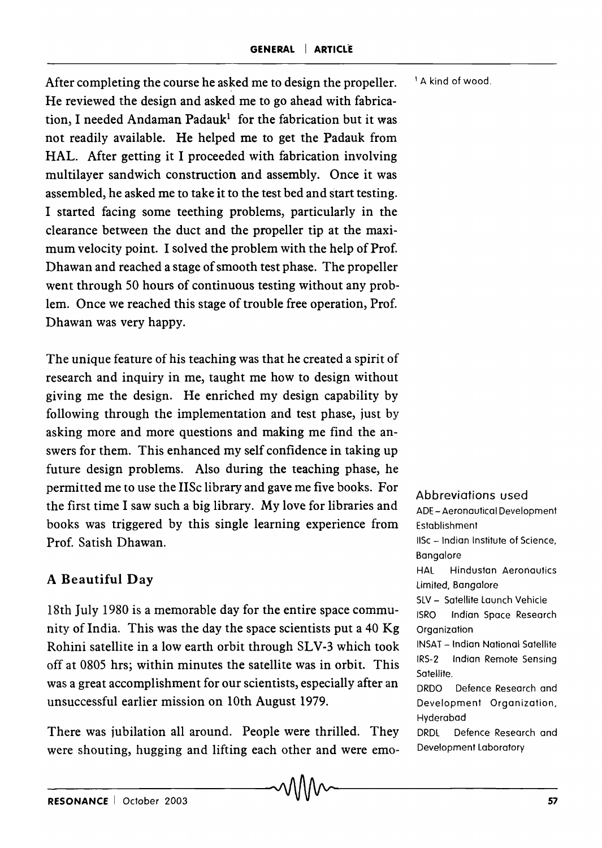After completing the course he asked me to design the propeller. <sup>1</sup> A kind of wood. He reviewed the design and asked me to go ahead with fabrication, I needed Andaman Padauk<sup>1</sup> for the fabrication but it was not readily available. He helped me to get the Padauk from HAL. After getting it I proceeded with fabrication involving multilayer sandwich construction and assembly. Once it was assembled, he asked me to take it to the test bed and start testing. I started facing some teething problems, particularly in the clearance between the duct and the propeller tip at the maximum velocity point. I solved the problem with the help of Prof. Dhawan and reached a stage of smooth test phase. The propeller went through 50 hours of continuous testing without any problem. Once we reached this stage of trouble free operation, Prof. Dhawan was very happy.

The unique feature of his teaching was that he created a spirit of research and inquiry in me, taught me how to design without giving me the design. He enriched my design capability by following through the implementation and test phase, just by asking more and more questions and making me find the answers for them. This enhanced my self confidence in taking up future design problems. Also during the teaching phase, he permitted me to use the IISc library and gave me five books. For the first time I saw such a big library. My love for libraries and books was triggered by this single learning experience from Prof. Satish Dhawan.

## A Beautiful Day

18th July 1980 is a memorable day for the entire space community of India. This was the day the space scientists put a 40 Kg Rohini satellite in a low earth orbit through SLV-3 which took off at 0805 hrs; within minutes the satellite was in orbit. This was a great accomplishment for our scientists, especially after an unsuccessful earlier mission on 10th August 1979.

There was jubilation all around. People were thrilled. They were shouting, hugging and lifting each other and were emo-

Abbreviations used

ADE -Aeronautical Development Establishment liSe - Indian Institute of Science, Bangalore HAL Hindusfan Aeronautics limited, Bangalore SlV - Satellite launch Vehicle fSRO Indian Space Research Organization INSAT - Indian National Satellite IRS-2 Indian Remote Sensing Satellite. DRDO Defence Research and Development Organization, Hyderabad DRDl Defence Research and Development Laboratory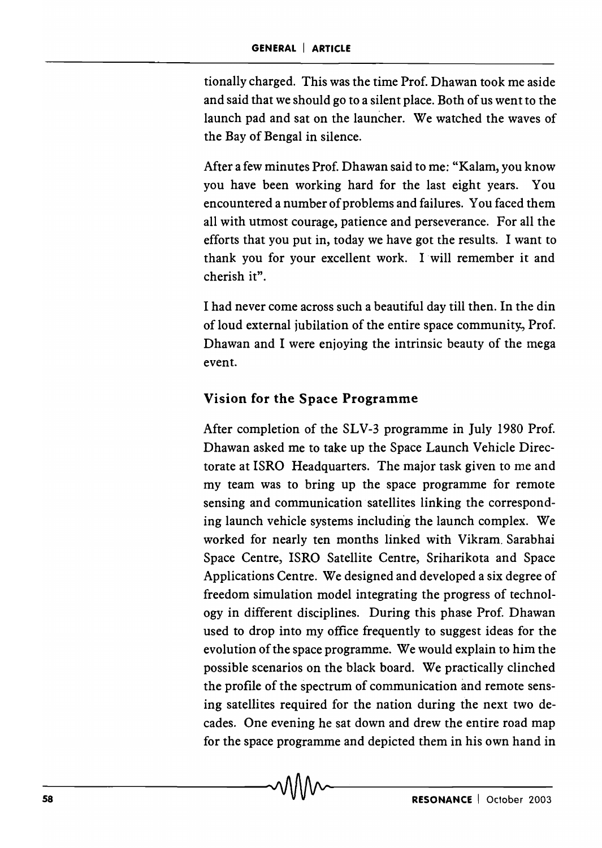tionally charged. This was the time Prof. Dhawan took me aside and said that we should go to a silent place. Both of us wen t to the launch pad and sat on the launcher. We watched the waves of the Bay of Bengal in silence.

After a few minutes Prof. Dhawan said to me: "Kalam, you know you have been working hard for the last eight years. You encountered a number of problems and failures. You faced them all with utmost courage, patience and perseverance. For all the efforts that you put in, today we have got the results. I want to thank you for your excellent work. I will remember it and cherish it".

I had never come across such a beautiful day till then. In the din of loud external jubilation of the entire space community;, Prof. Dhawan and I were enjoying the intrinsic beauty of the mega event.

#### Vision for the Space Programme

After completion of the SLV-3 programme in July 1980 Prof. Dhawan asked me to take up the Space Launch Vehicle Directorate at ISRO Headquarters. The major task given to me and my team was to bring up the space programme for remote sensing and communication satellites linking the corresponding launch vehicle systems including the launch complex. We worked for nearly ten months linked with Vikram. Sarabhai Space Centre, ISRO Satellite Centre, Sriharikota and Space Applications Centre. We designed and developed a six degree of freedom simulation model integrating the progress of technology in different disciplines. During this phase Prof. Dhawan used to drop into my office frequently to suggest ideas for the evolution of the space programme. We would explain to him the possible scenarios on the black board. We practically clinched the profile of the spectrum of communication and remote sensing satellites required for the nation during the next two decades. One evening he sat down and drew the entire road map for the space programme and depicted them in his own hand in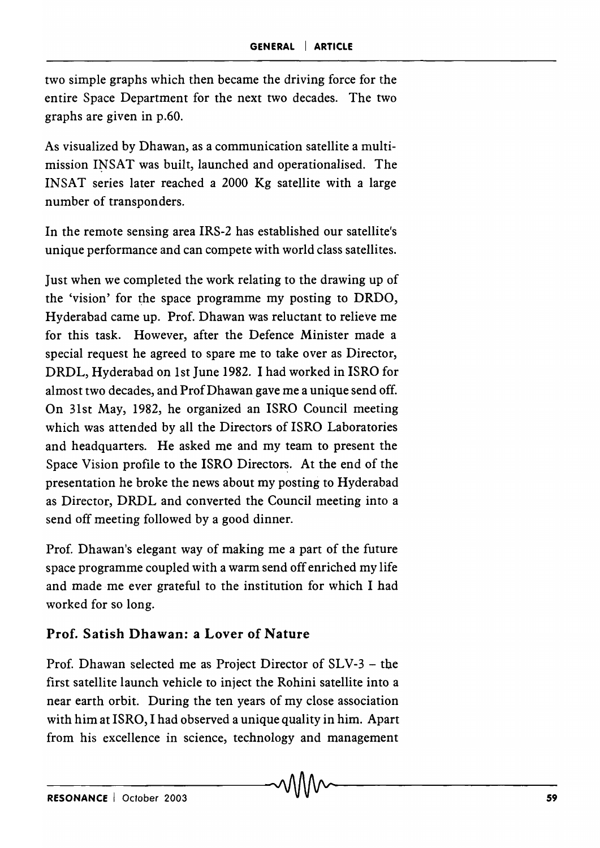two simple graphs which then became the driving force for the entire Space Department for the next two decades. The two graphs are given in p.60.

As visualized by Dhawan, as a communication satellite a multimission INSAT was built, launched and operationalised. The INSAT series later reached a 2000 Kg satellite with a large number of transponders.

In the remote sensing area IRS-2 has established our satellite's unique performance and can compete with world class satellites.

Just when we completed the work relating to the drawing up of the 'vision' for the space programme my posting to DRDO, Hyderabad came up. Prof. Dhawan was reluctant to relieve me for this task. However, after the Defence Minister made a special request he agreed to spare me to take over as Director, DRDL, Hyderabad on 1st June 1982. I had worked in ISRO for almost two decades, and Prof Dhawan gave me a unique send off. On 31st May, 1982, he organized an ISRO Council meeting which was attended by all the Directors of ISRO Laboratories and headquarters. He asked me and my team to present the Space Vision profile to the ISRO Directors. At the end of the presentation he broke the news about my posting to Hyderabad as Director, DRDL and converted the Council meeting into a send off meeting followed by a good dinner.

Prof. Dhawan's elegant way of making me a part of the future space programme coupled with a warm send off enriched my life and made me ever grateful to the institution for which I had worked for so long.

## Prof. Satish Dhawan: a Lover of Nature

Prof. Dhawan selected me as Project Director of SLV-3 - the first satellite launch vehicle to inject the Rohini satellite into a near earth orbit. During the ten years of my close association with him at ISRO, I had observed a unique quality in him. Apart from his excellence in science, technology and management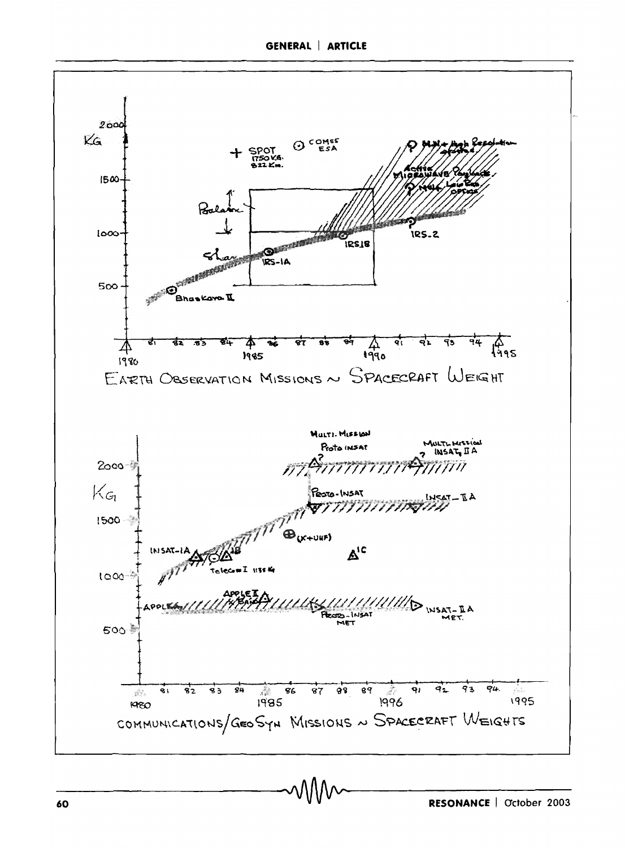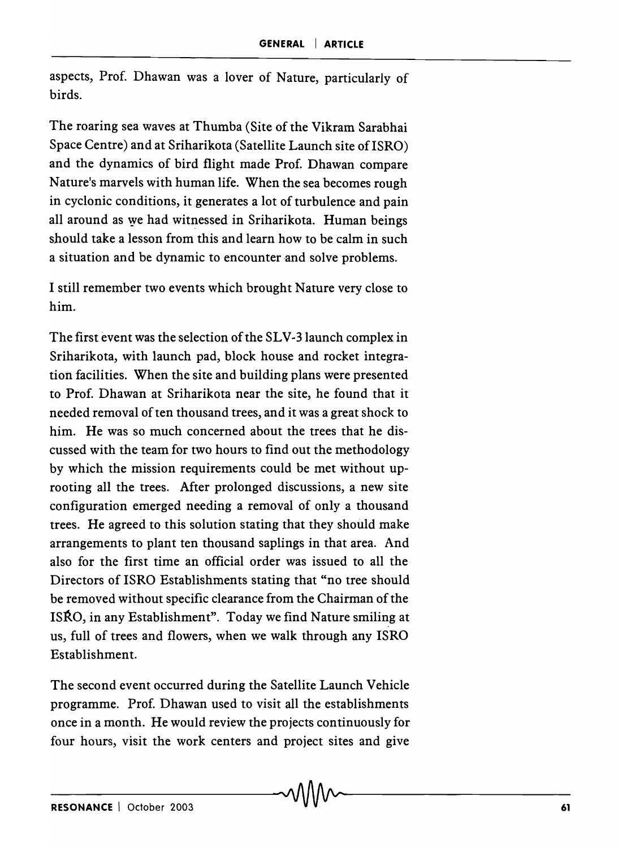aspects, Prof. Dhawan was a lover of Nature, particularly of birds.

The roaring sea waves at Thumba (Site of the Vikram Sarabhai Space Centre) and at Sriharikota (Satellite Launch site of ISRO) and the dynamics of bird flight made Prof. Dhawan compare Nature's marvels with human life. When the sea becomes rough in cyclonic conditions, it generates a lot of turbulence and pain all around as we had witnessed in Sriharikota. Human beings should take a lesson from this and learn how to be calm in such a situation and be dynamic to encounter and solve problems.

I still remember two events which brought Nature very close to him.

The first event was the selection of the SLV-31aunch complex in Sriharikota, with launch pad, block house and rocket integration facilities. When the site and building plans were presented to Prof. Dhawan at Sriharikota near the site, he found that it needed removal of ten thousand trees, and it was a great shock to him. He was so much concerned about the trees that he discussed with the team for two hours to find out the methodology by which the mission requirements could be met without uprooting all the trees. After prolonged discussions, a new site configuration emerged needing a removal of only a thousand trees. He agreed to this solution stating that they should make arrangements to plant ten thousand saplings in that area. And also for the first time an official order was issued to all the Directors of ISRO Establishments stating that "no tree should be removed without specific clearance from the Chairman of the ISRO, in any Establishment". Today we find Nature smiling at us, full of trees and flowers, when we walk through any ISRO Establishment.

The second event occurred during the Satellite Launch Vehicle programme. Prof. Dhawan used to visit all the establishments once in a month. He would review the projects continuously for four hours, visit the work centers and project sites and give